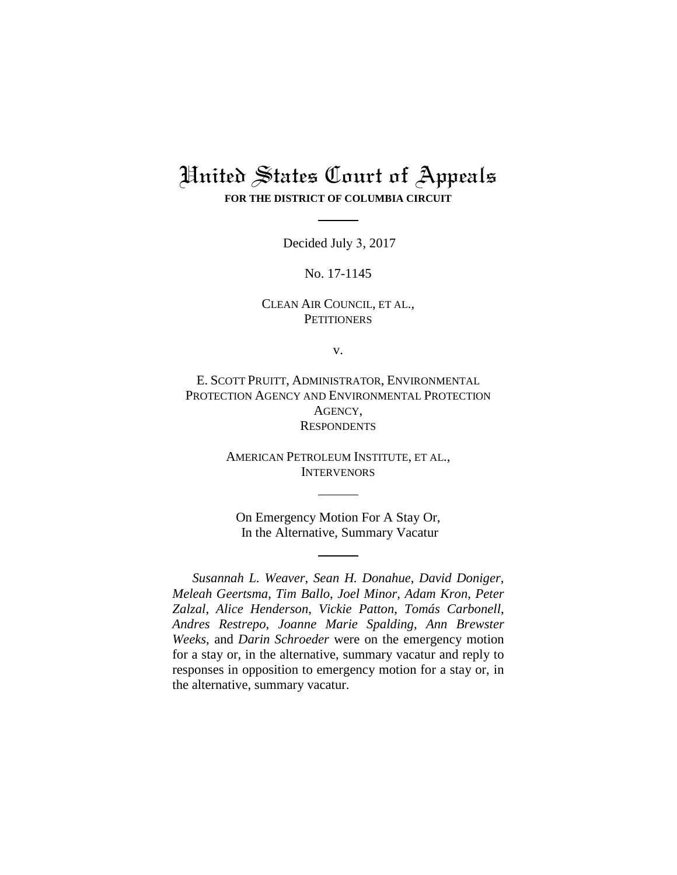# United States Court of Appeals **FOR THE DISTRICT OF COLUMBIA CIRCUIT**

Decided July 3, 2017

No. 17-1145

# CLEAN AIR COUNCIL, ET AL., **PETITIONERS**

v.

E. SCOTT PRUITT, ADMINISTRATOR, ENVIRONMENTAL PROTECTION AGENCY AND ENVIRONMENTAL PROTECTION AGENCY, **RESPONDENTS** 

> AMERICAN PETROLEUM INSTITUTE, ET AL., **INTERVENORS**

On Emergency Motion For A Stay Or, In the Alternative, Summary Vacatur

*Susannah L. Weaver*, *Sean H. Donahue*, *David Doniger*, *Meleah Geertsma*, *Tim Ballo*, *Joel Minor*, *Adam Kron*, *Peter Zalzal*, *Alice Henderson*, *Vickie Patton*, *Tomás Carbonell*, *Andres Restrepo*, *Joanne Marie Spalding*, *Ann Brewster Weeks*, and *Darin Schroeder* were on the emergency motion for a stay or, in the alternative, summary vacatur and reply to responses in opposition to emergency motion for a stay or, in the alternative, summary vacatur.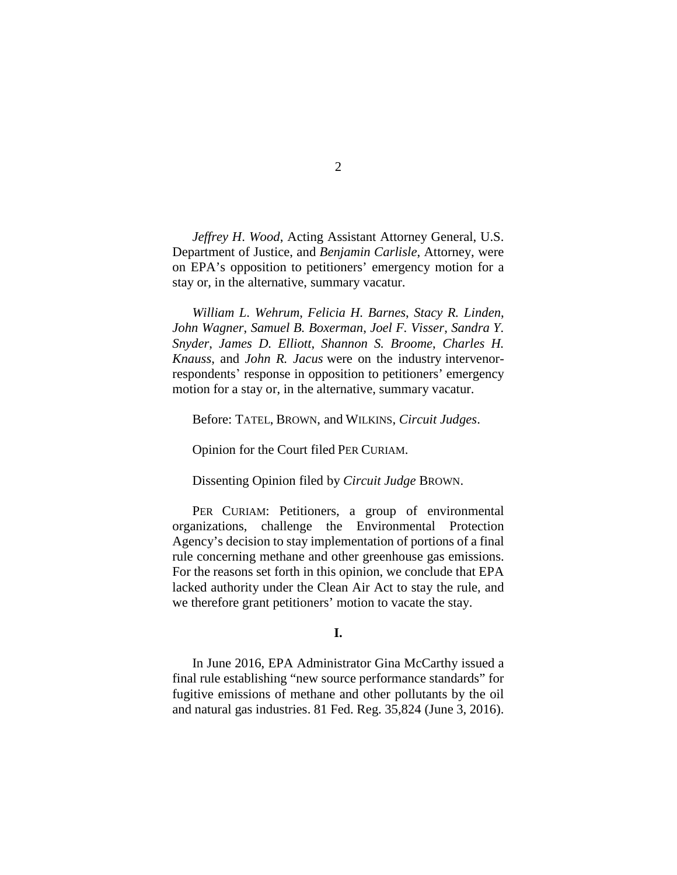*Jeffrey H*. *Wood*, Acting Assistant Attorney General, U.S. Department of Justice, and *Benjamin Carlisle*, Attorney, were on EPA's opposition to petitioners' emergency motion for a stay or, in the alternative, summary vacatur.

*William L*. *Wehrum*, *Felicia H. Barnes*, *Stacy R. Linden*, *John Wagner*, *Samuel B. Boxerman*, *Joel F. Visser*, *Sandra Y. Snyder*, *James D. Elliott*, *Shannon S. Broome*, *Charles H. Knauss*, and *John R. Jacus* were on the industry intervenorrespondents' response in opposition to petitioners' emergency motion for a stay or, in the alternative, summary vacatur.

Before: TATEL, BROWN, and WILKINS, *Circuit Judges*.

Opinion for the Court filed PER CURIAM.

Dissenting Opinion filed by *Circuit Judge* BROWN.

PER CURIAM: Petitioners, a group of environmental organizations, challenge the Environmental Protection Agency's decision to stay implementation of portions of a final rule concerning methane and other greenhouse gas emissions. For the reasons set forth in this opinion, we conclude that EPA lacked authority under the Clean Air Act to stay the rule, and we therefore grant petitioners' motion to vacate the stay.

## **I.**

In June 2016, EPA Administrator Gina McCarthy issued a final rule establishing "new source performance standards" for fugitive emissions of methane and other pollutants by the oil and natural gas industries. 81 Fed. Reg. 35,824 (June 3, 2016).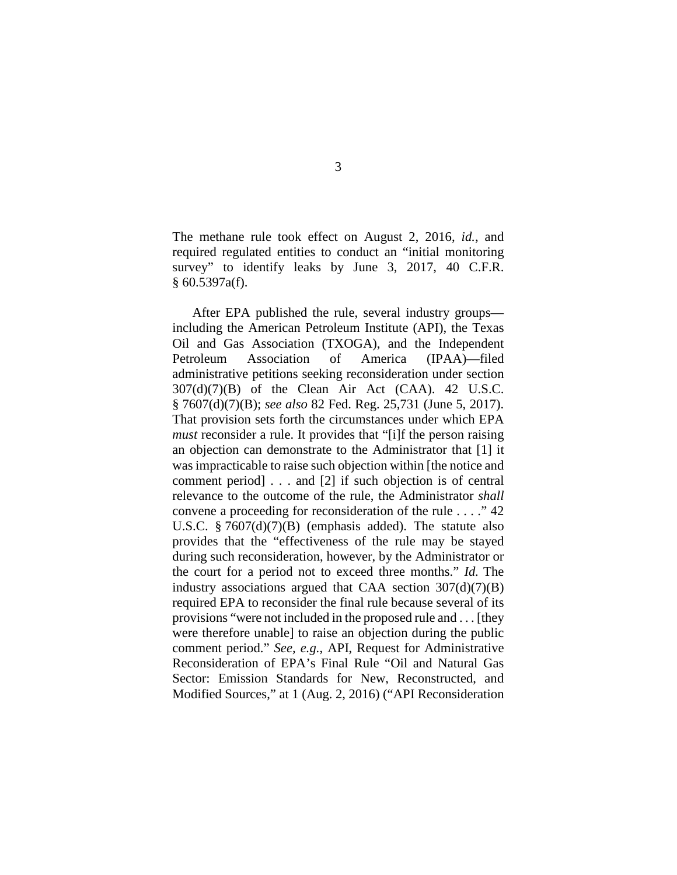The methane rule took effect on August 2, 2016, *id.*, and required regulated entities to conduct an "initial monitoring survey" to identify leaks by June 3, 2017, 40 C.F.R. § 60.5397a(f).

After EPA published the rule, several industry groups including the American Petroleum Institute (API), the Texas Oil and Gas Association (TXOGA), and the Independent Petroleum Association of America (IPAA)—filed administrative petitions seeking reconsideration under section  $307(d)(7)(B)$  of the Clean Air Act (CAA). 42 U.S.C. § 7607(d)(7)(B); *see also* 82 Fed. Reg. 25,731 (June 5, 2017). That provision sets forth the circumstances under which EPA *must* reconsider a rule. It provides that "[i]f the person raising an objection can demonstrate to the Administrator that [1] it was impracticable to raise such objection within [the notice and comment period] . . . and [2] if such objection is of central relevance to the outcome of the rule, the Administrator *shall* convene a proceeding for reconsideration of the rule . . . ." 42 U.S.C. § 7607(d)(7)(B) (emphasis added). The statute also provides that the "effectiveness of the rule may be stayed during such reconsideration, however, by the Administrator or the court for a period not to exceed three months." *Id.* The industry associations argued that CAA section  $307(d)(7)(B)$ required EPA to reconsider the final rule because several of its provisions "were not included in the proposed rule and . . . [they were therefore unable] to raise an objection during the public comment period." *See, e.g.*, API, Request for Administrative Reconsideration of EPA's Final Rule "Oil and Natural Gas Sector: Emission Standards for New, Reconstructed, and Modified Sources," at 1 (Aug. 2, 2016) ("API Reconsideration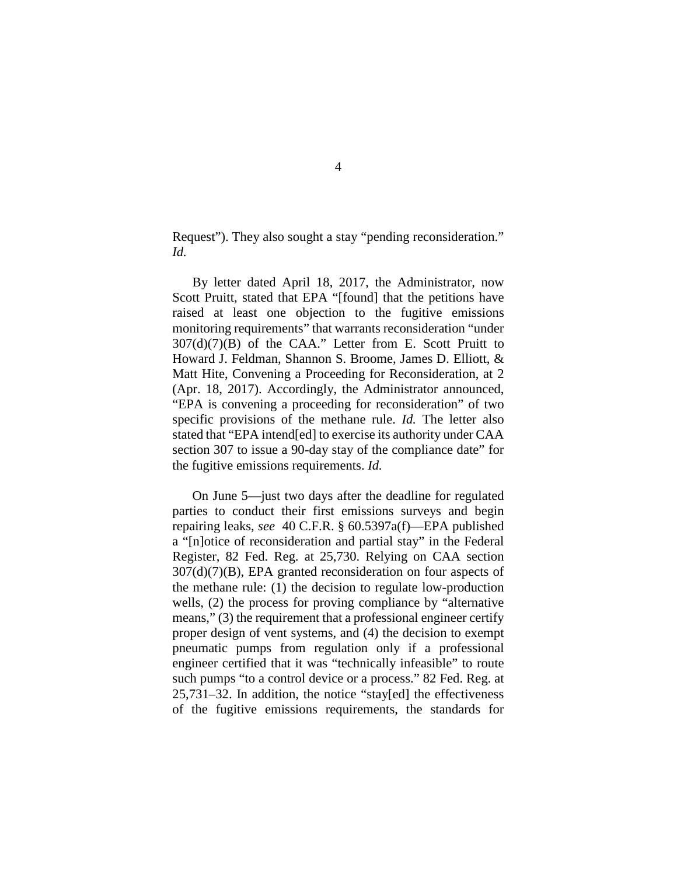Request"). They also sought a stay "pending reconsideration." *Id.*

By letter dated April 18, 2017, the Administrator, now Scott Pruitt, stated that EPA "[found] that the petitions have raised at least one objection to the fugitive emissions monitoring requirements" that warrants reconsideration "under  $307(d)(7)(B)$  of the CAA." Letter from E. Scott Pruitt to Howard J. Feldman, Shannon S. Broome, James D. Elliott, & Matt Hite, Convening a Proceeding for Reconsideration, at 2 (Apr. 18, 2017). Accordingly, the Administrator announced, "EPA is convening a proceeding for reconsideration" of two specific provisions of the methane rule. *Id.* The letter also stated that "EPA intend[ed] to exercise its authority under CAA section 307 to issue a 90-day stay of the compliance date" for the fugitive emissions requirements. *Id.* 

On June 5—just two days after the deadline for regulated parties to conduct their first emissions surveys and begin repairing leaks, *see* 40 C.F.R. § 60.5397a(f)—EPA published a "[n]otice of reconsideration and partial stay" in the Federal Register, 82 Fed. Reg. at 25,730. Relying on CAA section 307(d)(7)(B), EPA granted reconsideration on four aspects of the methane rule: (1) the decision to regulate low-production wells, (2) the process for proving compliance by "alternative means," (3) the requirement that a professional engineer certify proper design of vent systems, and (4) the decision to exempt pneumatic pumps from regulation only if a professional engineer certified that it was "technically infeasible" to route such pumps "to a control device or a process." 82 Fed. Reg. at 25,731–32. In addition, the notice "stay[ed] the effectiveness of the fugitive emissions requirements, the standards for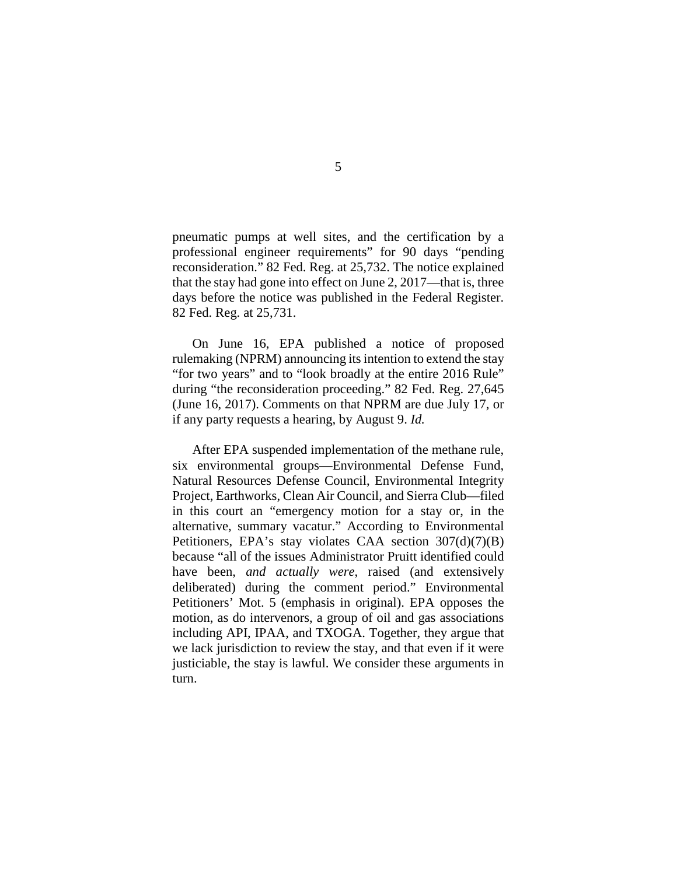pneumatic pumps at well sites, and the certification by a professional engineer requirements" for 90 days "pending reconsideration." 82 Fed. Reg. at 25,732. The notice explained that the stay had gone into effect on June 2, 2017—that is, three days before the notice was published in the Federal Register. 82 Fed. Reg. at 25,731.

On June 16, EPA published a notice of proposed rulemaking (NPRM) announcing its intention to extend the stay "for two years" and to "look broadly at the entire 2016 Rule" during "the reconsideration proceeding." 82 Fed. Reg. 27,645 (June 16, 2017). Comments on that NPRM are due July 17, or if any party requests a hearing, by August 9. *Id.*

After EPA suspended implementation of the methane rule, six environmental groups—Environmental Defense Fund, Natural Resources Defense Council, Environmental Integrity Project, Earthworks, Clean Air Council, and Sierra Club—filed in this court an "emergency motion for a stay or, in the alternative, summary vacatur." According to Environmental Petitioners, EPA's stay violates CAA section 307(d)(7)(B) because "all of the issues Administrator Pruitt identified could have been, *and actually were*, raised (and extensively deliberated) during the comment period." Environmental Petitioners' Mot. 5 (emphasis in original). EPA opposes the motion, as do intervenors, a group of oil and gas associations including API, IPAA, and TXOGA. Together, they argue that we lack jurisdiction to review the stay, and that even if it were justiciable, the stay is lawful. We consider these arguments in turn.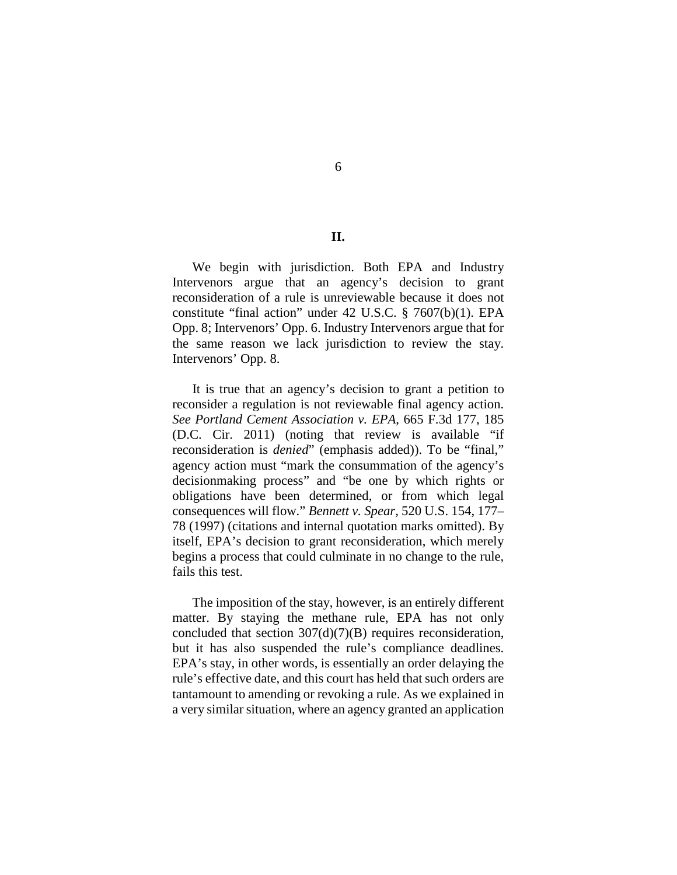**II.**

We begin with jurisdiction. Both EPA and Industry Intervenors argue that an agency's decision to grant reconsideration of a rule is unreviewable because it does not constitute "final action" under 42 U.S.C. § 7607(b)(1). EPA Opp. 8; Intervenors' Opp. 6. Industry Intervenors argue that for the same reason we lack jurisdiction to review the stay. Intervenors' Opp. 8.

It is true that an agency's decision to grant a petition to reconsider a regulation is not reviewable final agency action. *See Portland Cement Association v. EPA*, 665 F.3d 177, 185 (D.C. Cir. 2011) (noting that review is available "if reconsideration is *denied*" (emphasis added)). To be "final," agency action must "mark the consummation of the agency's decisionmaking process" and "be one by which rights or obligations have been determined, or from which legal consequences will flow." *Bennett v. Spear*, 520 U.S. 154, 177– 78 (1997) (citations and internal quotation marks omitted). By itself, EPA's decision to grant reconsideration, which merely begins a process that could culminate in no change to the rule, fails this test.

The imposition of the stay, however, is an entirely different matter. By staying the methane rule, EPA has not only concluded that section  $307(d)(7)(B)$  requires reconsideration, but it has also suspended the rule's compliance deadlines. EPA's stay, in other words, is essentially an order delaying the rule's effective date, and this court has held that such orders are tantamount to amending or revoking a rule. As we explained in a very similar situation, where an agency granted an application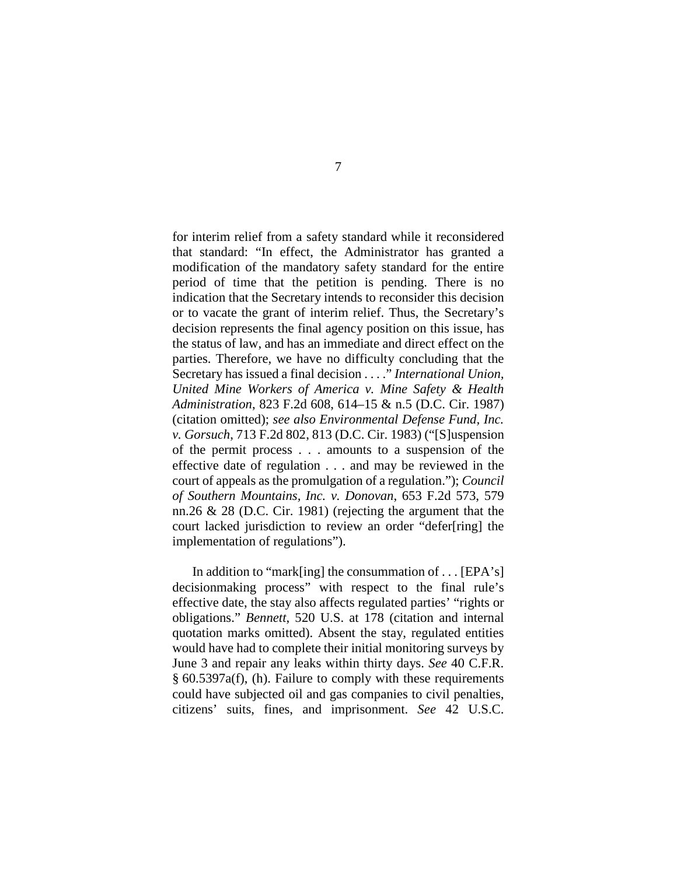for interim relief from a safety standard while it reconsidered that standard: "In effect, the Administrator has granted a modification of the mandatory safety standard for the entire period of time that the petition is pending. There is no indication that the Secretary intends to reconsider this decision or to vacate the grant of interim relief. Thus, the Secretary's decision represents the final agency position on this issue, has the status of law, and has an immediate and direct effect on the parties. Therefore, we have no difficulty concluding that the Secretary has issued a final decision . . . ." *International Union, United Mine Workers of America v. Mine Safety & Health Administration*, 823 F.2d 608, 614–15 & n.5 (D.C. Cir. 1987) (citation omitted); *see also Environmental Defense Fund, Inc. v. Gorsuch*, 713 F.2d 802, 813 (D.C. Cir. 1983) ("[S]uspension of the permit process . . . amounts to a suspension of the effective date of regulation . . . and may be reviewed in the court of appeals as the promulgation of a regulation."); *Council of Southern Mountains, Inc. v. Donovan*, 653 F.2d 573, 579 nn.26 & 28 (D.C. Cir. 1981) (rejecting the argument that the court lacked jurisdiction to review an order "defer[ring] the implementation of regulations").

In addition to "mark[ing] the consummation of . . . [EPA's] decisionmaking process" with respect to the final rule's effective date, the stay also affects regulated parties' "rights or obligations." *Bennett*, 520 U.S. at 178 (citation and internal quotation marks omitted). Absent the stay, regulated entities would have had to complete their initial monitoring surveys by June 3 and repair any leaks within thirty days. *See* 40 C.F.R. § 60.5397a(f), (h). Failure to comply with these requirements could have subjected oil and gas companies to civil penalties, citizens' suits, fines, and imprisonment. *See* 42 U.S.C.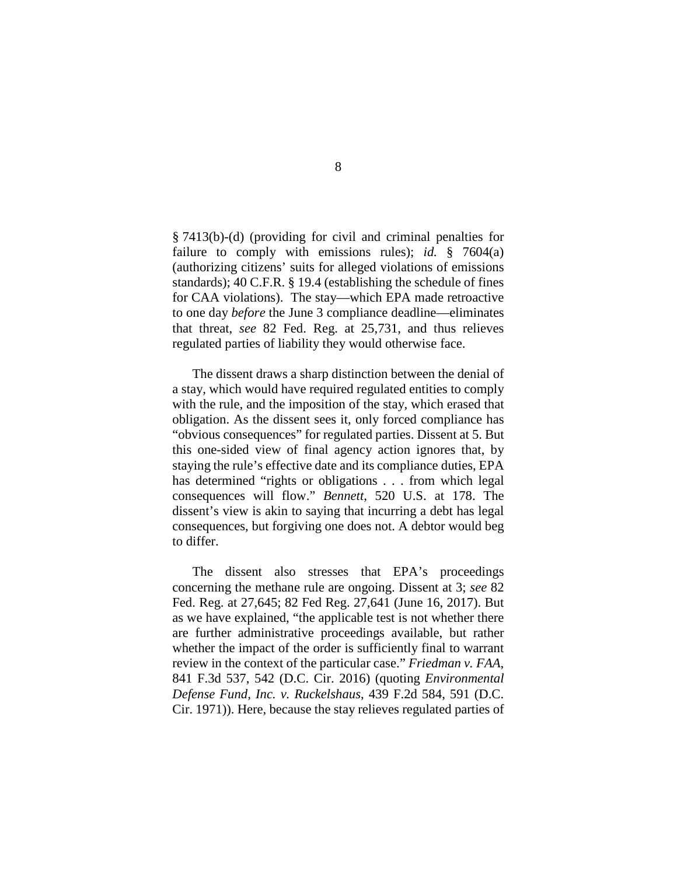§ 7413(b)-(d) (providing for civil and criminal penalties for failure to comply with emissions rules); *id.* § 7604(a) (authorizing citizens' suits for alleged violations of emissions standards); 40 C.F.R. § 19.4 (establishing the schedule of fines for CAA violations). The stay—which EPA made retroactive to one day *before* the June 3 compliance deadline—eliminates that threat, *see* 82 Fed. Reg. at 25,731, and thus relieves regulated parties of liability they would otherwise face.

The dissent draws a sharp distinction between the denial of a stay, which would have required regulated entities to comply with the rule, and the imposition of the stay, which erased that obligation. As the dissent sees it, only forced compliance has "obvious consequences" for regulated parties. Dissent at 5. But this one-sided view of final agency action ignores that, by staying the rule's effective date and its compliance duties, EPA has determined "rights or obligations . . . from which legal consequences will flow." *Bennett*, 520 U.S. at 178. The dissent's view is akin to saying that incurring a debt has legal consequences, but forgiving one does not. A debtor would beg to differ.

The dissent also stresses that EPA's proceedings concerning the methane rule are ongoing. Dissent at 3; *see* 82 Fed. Reg. at 27,645; 82 Fed Reg. 27,641 (June 16, 2017). But as we have explained, "the applicable test is not whether there are further administrative proceedings available, but rather whether the impact of the order is sufficiently final to warrant review in the context of the particular case." *Friedman v. FAA*, 841 F.3d 537, 542 (D.C. Cir. 2016) (quoting *Environmental Defense Fund, Inc. v. Ruckelshaus*, 439 F.2d 584, 591 (D.C. Cir. 1971)). Here, because the stay relieves regulated parties of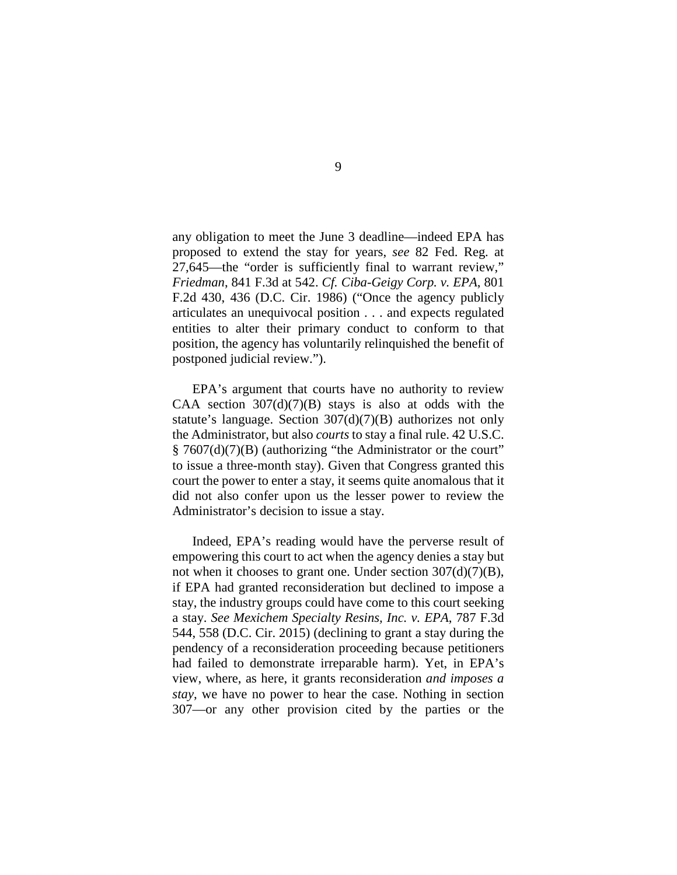any obligation to meet the June 3 deadline—indeed EPA has proposed to extend the stay for years, *see* 82 Fed. Reg. at 27,645—the "order is sufficiently final to warrant review," *Friedman*, 841 F.3d at 542. *Cf. Ciba-Geigy Corp. v. EPA*, 801 F.2d 430, 436 (D.C. Cir. 1986) ("Once the agency publicly articulates an unequivocal position . . . and expects regulated entities to alter their primary conduct to conform to that position, the agency has voluntarily relinquished the benefit of postponed judicial review.").

EPA's argument that courts have no authority to review CAA section  $307(d)(7)(B)$  stays is also at odds with the statute's language. Section 307(d)(7)(B) authorizes not only the Administrator, but also *courts* to stay a final rule. 42 U.S.C. § 7607(d)(7)(B) (authorizing "the Administrator or the court" to issue a three-month stay). Given that Congress granted this court the power to enter a stay, it seems quite anomalous that it did not also confer upon us the lesser power to review the Administrator's decision to issue a stay.

Indeed, EPA's reading would have the perverse result of empowering this court to act when the agency denies a stay but not when it chooses to grant one. Under section  $307(d)(7)(B)$ , if EPA had granted reconsideration but declined to impose a stay, the industry groups could have come to this court seeking a stay. *See Mexichem Specialty Resins, Inc. v. EPA*, 787 F.3d 544, 558 (D.C. Cir. 2015) (declining to grant a stay during the pendency of a reconsideration proceeding because petitioners had failed to demonstrate irreparable harm). Yet, in EPA's view, where, as here, it grants reconsideration *and imposes a stay*, we have no power to hear the case. Nothing in section 307—or any other provision cited by the parties or the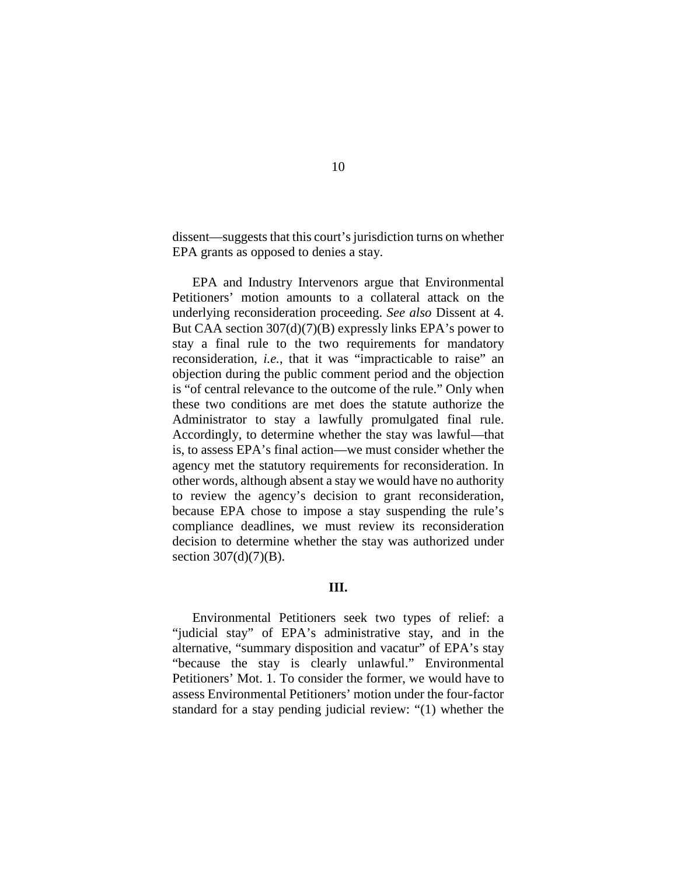dissent—suggests that this court's jurisdiction turns on whether EPA grants as opposed to denies a stay.

EPA and Industry Intervenors argue that Environmental Petitioners' motion amounts to a collateral attack on the underlying reconsideration proceeding. *See also* Dissent at 4. But CAA section 307(d)(7)(B) expressly links EPA's power to stay a final rule to the two requirements for mandatory reconsideration, *i.e.*, that it was "impracticable to raise" an objection during the public comment period and the objection is "of central relevance to the outcome of the rule." Only when these two conditions are met does the statute authorize the Administrator to stay a lawfully promulgated final rule. Accordingly, to determine whether the stay was lawful—that is, to assess EPA's final action—we must consider whether the agency met the statutory requirements for reconsideration. In other words, although absent a stay we would have no authority to review the agency's decision to grant reconsideration, because EPA chose to impose a stay suspending the rule's compliance deadlines, we must review its reconsideration decision to determine whether the stay was authorized under section  $307(d)(7)(B)$ .

### **III.**

Environmental Petitioners seek two types of relief: a "judicial stay" of EPA's administrative stay, and in the alternative, "summary disposition and vacatur" of EPA's stay "because the stay is clearly unlawful." Environmental Petitioners' Mot. 1. To consider the former, we would have to assess Environmental Petitioners' motion under the four-factor standard for a stay pending judicial review: "(1) whether the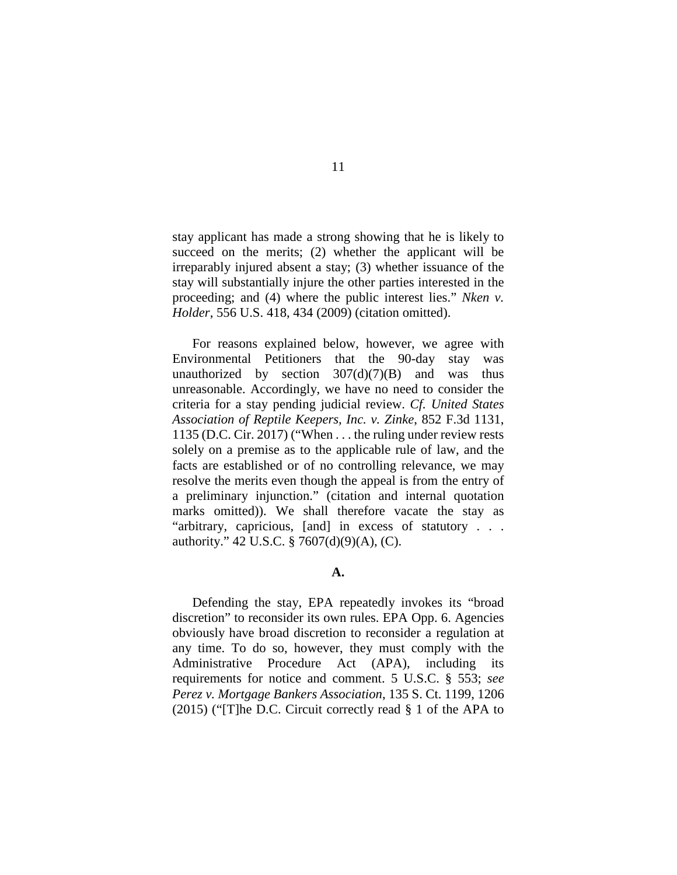stay applicant has made a strong showing that he is likely to succeed on the merits; (2) whether the applicant will be irreparably injured absent a stay; (3) whether issuance of the stay will substantially injure the other parties interested in the proceeding; and (4) where the public interest lies." *Nken v. Holder*, 556 U.S. 418, 434 (2009) (citation omitted).

For reasons explained below, however, we agree with Environmental Petitioners that the 90-day stay was unauthorized by section  $307(d)(7)(B)$  and was thus unreasonable. Accordingly, we have no need to consider the criteria for a stay pending judicial review. *Cf. United States Association of Reptile Keepers, Inc. v. Zinke*, 852 F.3d 1131, 1135 (D.C. Cir. 2017) ("When . . . the ruling under review rests solely on a premise as to the applicable rule of law, and the facts are established or of no controlling relevance, we may resolve the merits even though the appeal is from the entry of a preliminary injunction." (citation and internal quotation marks omitted)). We shall therefore vacate the stay as "arbitrary, capricious, [and] in excess of statutory . . . authority." 42 U.S.C. § 7607(d)(9)(A), (C).

## **A.**

Defending the stay, EPA repeatedly invokes its "broad discretion" to reconsider its own rules. EPA Opp. 6. Agencies obviously have broad discretion to reconsider a regulation at any time. To do so, however, they must comply with the Administrative Procedure Act (APA), including its requirements for notice and comment. 5 U.S.C. § 553; *see Perez v. Mortgage Bankers Association*, 135 S. Ct. 1199, 1206 (2015) ("[T]he D.C. Circuit correctly read § 1 of the APA to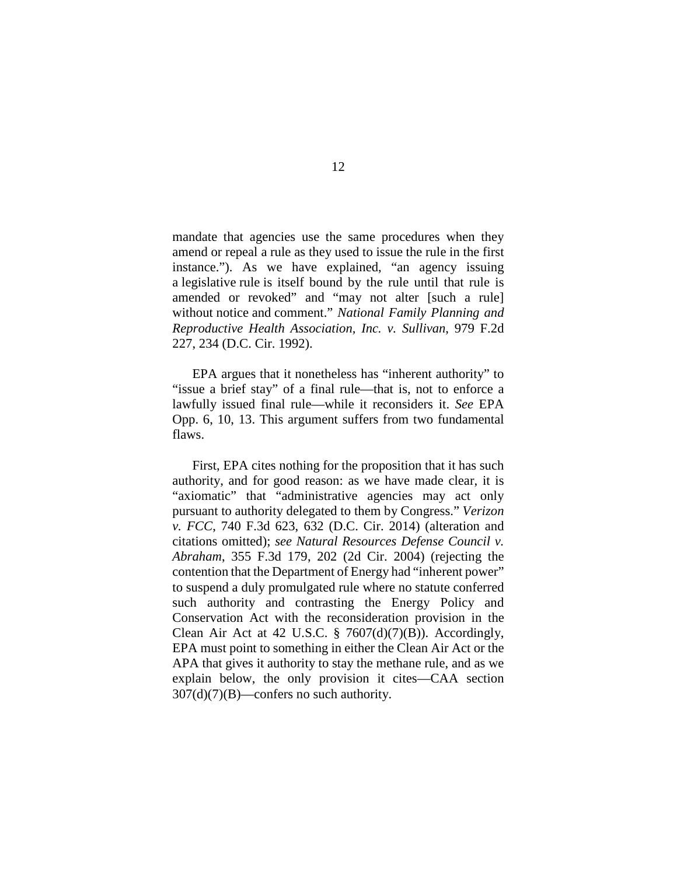mandate that agencies use the same procedures when they amend or repeal a rule as they used to issue the rule in the first instance."). As we have explained, "an agency issuing a legislative rule is itself bound by the rule until that rule is amended or revoked" and "may not alter [such a rule] without notice and comment." *National Family Planning and Reproductive Health Association, Inc. v. Sullivan*, 979 F.2d 227, 234 (D.C. Cir. 1992).

EPA argues that it nonetheless has "inherent authority" to "issue a brief stay" of a final rule—that is, not to enforce a lawfully issued final rule—while it reconsiders it. *See* EPA Opp. 6, 10, 13. This argument suffers from two fundamental flaws.

First, EPA cites nothing for the proposition that it has such authority, and for good reason: as we have made clear, it is "axiomatic" that "administrative agencies may act only pursuant to authority delegated to them by Congress." *Verizon v. FCC*, 740 F.3d 623, 632 (D.C. Cir. 2014) (alteration and citations omitted); *see Natural Resources Defense Council v. Abraham*, 355 F.3d 179, 202 (2d Cir. 2004) (rejecting the contention that the Department of Energy had "inherent power" to suspend a duly promulgated rule where no statute conferred such authority and contrasting the Energy Policy and Conservation Act with the reconsideration provision in the Clean Air Act at 42 U.S.C. § 7607(d)(7)(B)). Accordingly, EPA must point to something in either the Clean Air Act or the APA that gives it authority to stay the methane rule, and as we explain below, the only provision it cites—CAA section  $307(d)(7)(B)$ —confers no such authority.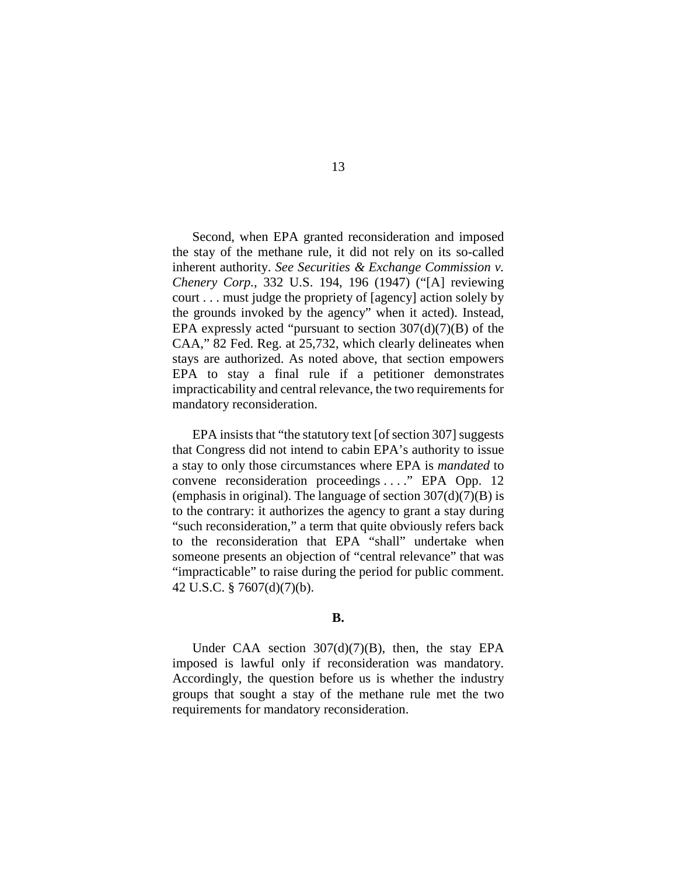Second, when EPA granted reconsideration and imposed the stay of the methane rule, it did not rely on its so-called inherent authority. *See Securities & Exchange Commission v. Chenery Corp.*, 332 U.S. 194, 196 (1947) ("[A] reviewing court . . . must judge the propriety of [agency] action solely by the grounds invoked by the agency" when it acted). Instead, EPA expressly acted "pursuant to section  $307(d)(7)(B)$  of the CAA," 82 Fed. Reg. at 25,732, which clearly delineates when stays are authorized. As noted above, that section empowers EPA to stay a final rule if a petitioner demonstrates impracticability and central relevance, the two requirements for mandatory reconsideration.

EPA insists that "the statutory text [of section 307] suggests that Congress did not intend to cabin EPA's authority to issue a stay to only those circumstances where EPA is *mandated* to convene reconsideration proceedings . . . ." EPA Opp. 12 (emphasis in original). The language of section  $307(d)(7)(B)$  is to the contrary: it authorizes the agency to grant a stay during "such reconsideration," a term that quite obviously refers back to the reconsideration that EPA "shall" undertake when someone presents an objection of "central relevance" that was "impracticable" to raise during the period for public comment. 42 U.S.C. § 7607(d)(7)(b).

#### **B.**

Under CAA section  $307(d)(7)(B)$ , then, the stay EPA imposed is lawful only if reconsideration was mandatory. Accordingly, the question before us is whether the industry groups that sought a stay of the methane rule met the two requirements for mandatory reconsideration.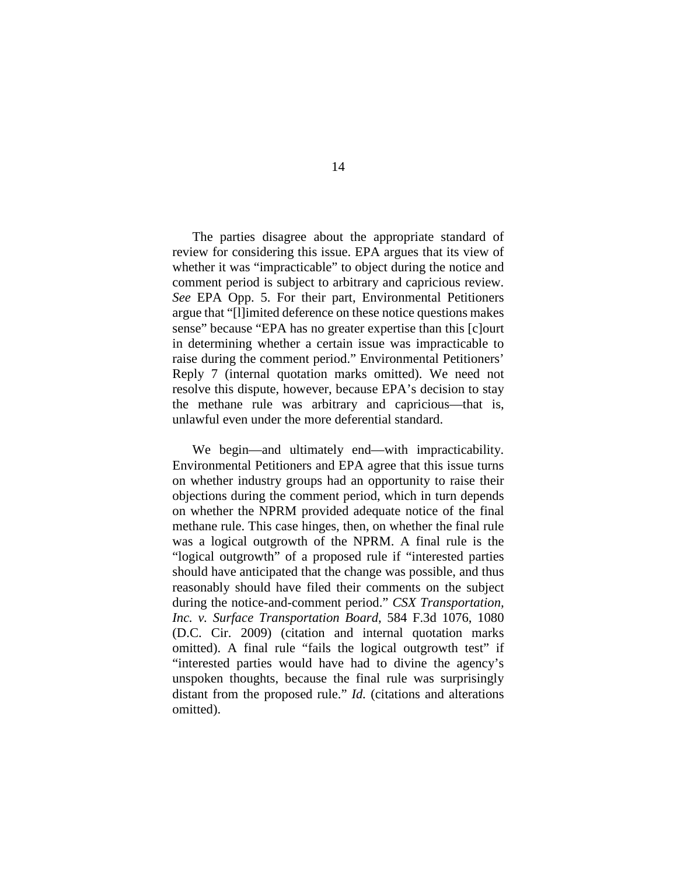The parties disagree about the appropriate standard of review for considering this issue. EPA argues that its view of whether it was "impracticable" to object during the notice and comment period is subject to arbitrary and capricious review. *See* EPA Opp. 5. For their part, Environmental Petitioners argue that "[l]imited deference on these notice questions makes sense" because "EPA has no greater expertise than this [c]ourt in determining whether a certain issue was impracticable to raise during the comment period." Environmental Petitioners' Reply 7 (internal quotation marks omitted). We need not resolve this dispute, however, because EPA's decision to stay the methane rule was arbitrary and capricious—that is, unlawful even under the more deferential standard.

We begin—and ultimately end—with impracticability. Environmental Petitioners and EPA agree that this issue turns on whether industry groups had an opportunity to raise their objections during the comment period, which in turn depends on whether the NPRM provided adequate notice of the final methane rule. This case hinges, then, on whether the final rule was a logical outgrowth of the NPRM. A final rule is the "logical outgrowth" of a proposed rule if "interested parties should have anticipated that the change was possible, and thus reasonably should have filed their comments on the subject during the notice-and-comment period." *CSX Transportation, Inc. v. Surface Transportation Board*, 584 F.3d 1076, 1080 (D.C. Cir. 2009) (citation and internal quotation marks omitted). A final rule "fails the logical outgrowth test" if "interested parties would have had to divine the agency's unspoken thoughts, because the final rule was surprisingly distant from the proposed rule." *Id.* (citations and alterations omitted).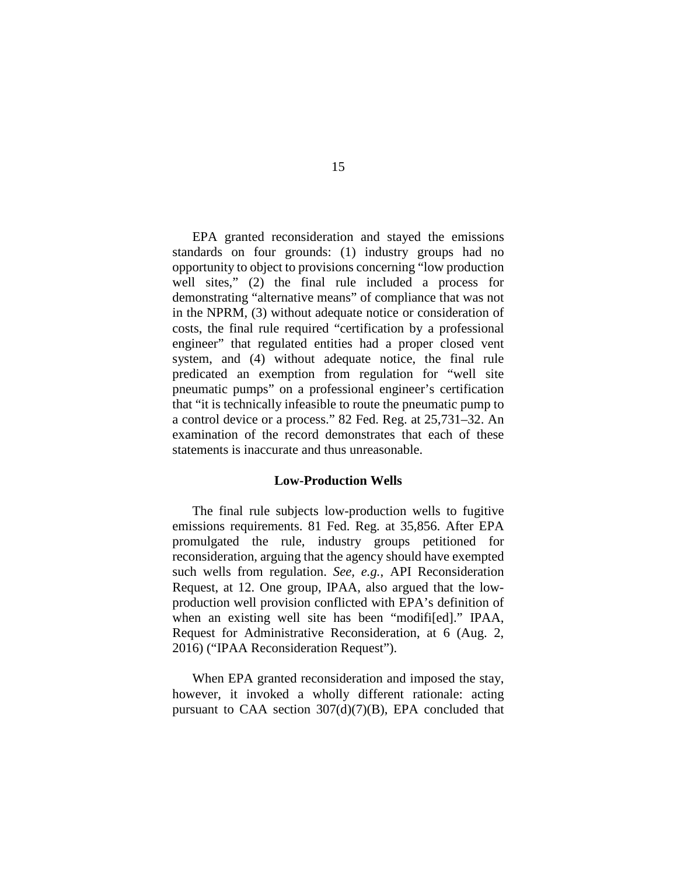EPA granted reconsideration and stayed the emissions standards on four grounds: (1) industry groups had no opportunity to object to provisions concerning "low production well sites," (2) the final rule included a process for demonstrating "alternative means" of compliance that was not in the NPRM, (3) without adequate notice or consideration of costs, the final rule required "certification by a professional engineer" that regulated entities had a proper closed vent system, and (4) without adequate notice, the final rule predicated an exemption from regulation for "well site pneumatic pumps" on a professional engineer's certification that "it is technically infeasible to route the pneumatic pump to a control device or a process." 82 Fed. Reg. at 25,731–32. An examination of the record demonstrates that each of these statements is inaccurate and thus unreasonable.

### **Low-Production Wells**

The final rule subjects low-production wells to fugitive emissions requirements. 81 Fed. Reg. at 35,856. After EPA promulgated the rule, industry groups petitioned for reconsideration, arguing that the agency should have exempted such wells from regulation. *See, e.g.*, API Reconsideration Request, at 12. One group, IPAA, also argued that the lowproduction well provision conflicted with EPA's definition of when an existing well site has been "modifi[ed]." IPAA, Request for Administrative Reconsideration, at 6 (Aug. 2, 2016) ("IPAA Reconsideration Request").

When EPA granted reconsideration and imposed the stay, however, it invoked a wholly different rationale: acting pursuant to CAA section  $307(d)(7)(B)$ , EPA concluded that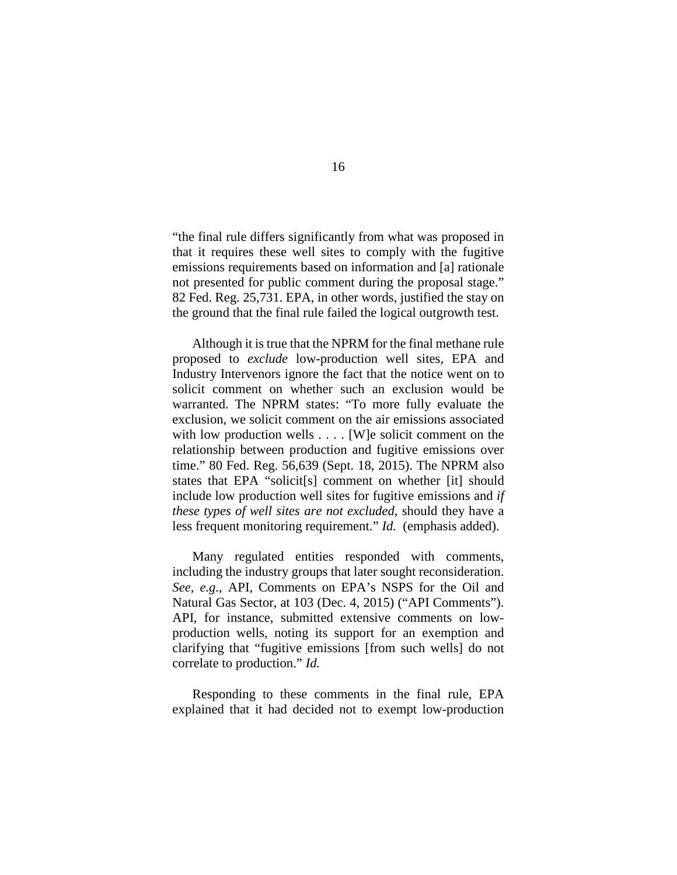"the final rule differs significantly from what was proposed in that it requires these well sites to comply with the fugitive emissions requirements based on information and [a] rationale not presented for public comment during the proposal stage." 82 Fed. Reg. 25,731. EPA, in other words, justified the stay on the ground that the final rule failed the logical outgrowth test.

Although it is true that the NPRM for the final methane rule proposed to *exclude* low-production well sites, EPA and Industry Intervenors ignore the fact that the notice went on to solicit comment on whether such an exclusion would be warranted. The NPRM states: "To more fully evaluate the exclusion, we solicit comment on the air emissions associated with low production wells . . . . [W]e solicit comment on the relationship between production and fugitive emissions over time." 80 Fed. Reg. 56,639 (Sept. 18, 2015). The NPRM also states that EPA "solicit[s] comment on whether [it] should include low production well sites for fugitive emissions and *if these types of well sites are not excluded*, should they have a less frequent monitoring requirement." *Id.* (emphasis added).

Many regulated entities responded with comments, including the industry groups that later sought reconsideration. *See, e.g.*, API, Comments on EPA's NSPS for the Oil and Natural Gas Sector, at 103 (Dec. 4, 2015) ("API Comments"). API, for instance, submitted extensive comments on lowproduction wells, noting its support for an exemption and clarifying that "fugitive emissions [from such wells] do not correlate to production." *Id.*

Responding to these comments in the final rule, EPA explained that it had decided not to exempt low-production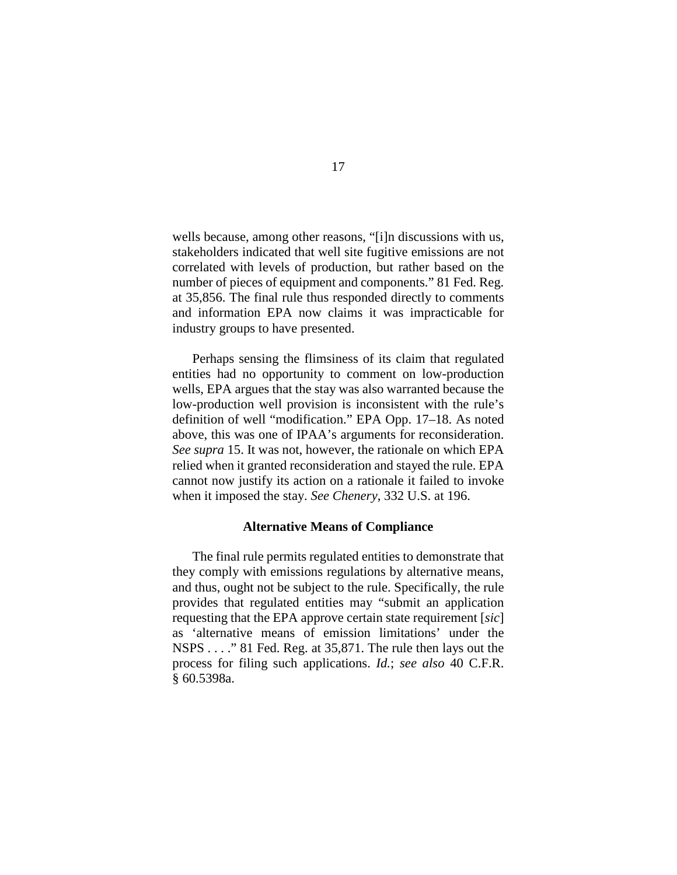wells because, among other reasons, "[i]n discussions with us, stakeholders indicated that well site fugitive emissions are not correlated with levels of production, but rather based on the number of pieces of equipment and components." 81 Fed. Reg. at 35,856. The final rule thus responded directly to comments and information EPA now claims it was impracticable for industry groups to have presented.

Perhaps sensing the flimsiness of its claim that regulated entities had no opportunity to comment on low-production wells, EPA argues that the stay was also warranted because the low-production well provision is inconsistent with the rule's definition of well "modification." EPA Opp. 17–18. As noted above, this was one of IPAA's arguments for reconsideration. *See supra* 15. It was not, however, the rationale on which EPA relied when it granted reconsideration and stayed the rule. EPA cannot now justify its action on a rationale it failed to invoke when it imposed the stay. *See Chenery*, 332 U.S. at 196.

#### **Alternative Means of Compliance**

The final rule permits regulated entities to demonstrate that they comply with emissions regulations by alternative means, and thus, ought not be subject to the rule. Specifically, the rule provides that regulated entities may "submit an application requesting that the EPA approve certain state requirement [*sic*] as 'alternative means of emission limitations' under the NSPS . . . ." 81 Fed. Reg. at 35,871. The rule then lays out the process for filing such applications. *Id.*; *see also* 40 C.F.R. § 60.5398a.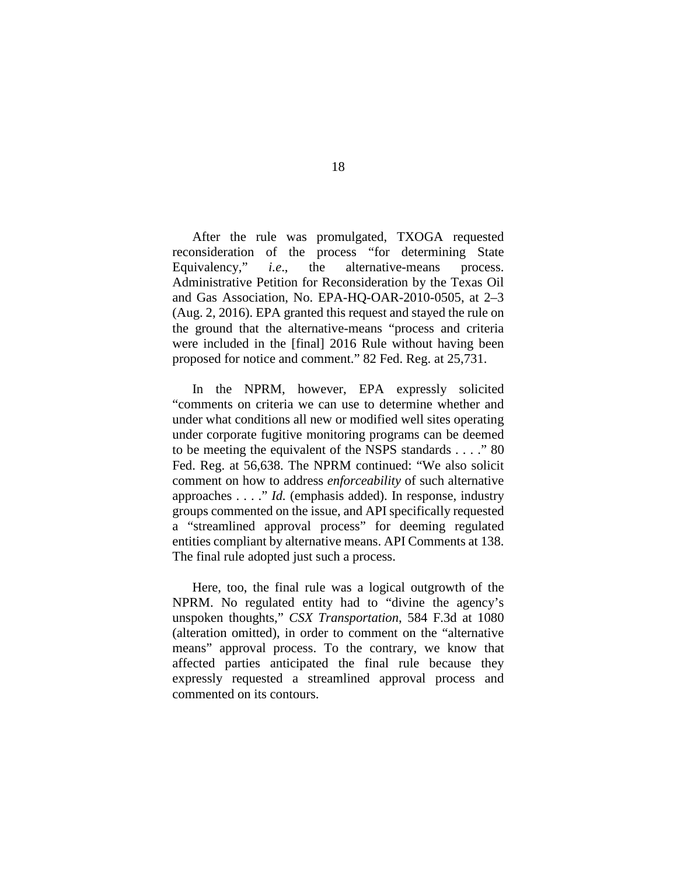After the rule was promulgated, TXOGA requested reconsideration of the process "for determining State Equivalency," *i.e*., the alternative-means process. Administrative Petition for Reconsideration by the Texas Oil and Gas Association, No. EPA-HQ-OAR-2010-0505, at 2–3 (Aug. 2, 2016). EPA granted this request and stayed the rule on the ground that the alternative-means "process and criteria were included in the [final] 2016 Rule without having been proposed for notice and comment." 82 Fed. Reg. at 25,731.

In the NPRM, however, EPA expressly solicited "comments on criteria we can use to determine whether and under what conditions all new or modified well sites operating under corporate fugitive monitoring programs can be deemed to be meeting the equivalent of the NSPS standards . . . ." 80 Fed. Reg. at 56,638. The NPRM continued: "We also solicit comment on how to address *enforceability* of such alternative approaches . . . ." *Id.* (emphasis added). In response, industry groups commented on the issue, and API specifically requested a "streamlined approval process" for deeming regulated entities compliant by alternative means. API Comments at 138. The final rule adopted just such a process.

Here, too, the final rule was a logical outgrowth of the NPRM. No regulated entity had to "divine the agency's unspoken thoughts," *CSX Transportation*, 584 F.3d at 1080 (alteration omitted), in order to comment on the "alternative means" approval process. To the contrary, we know that affected parties anticipated the final rule because they expressly requested a streamlined approval process and commented on its contours.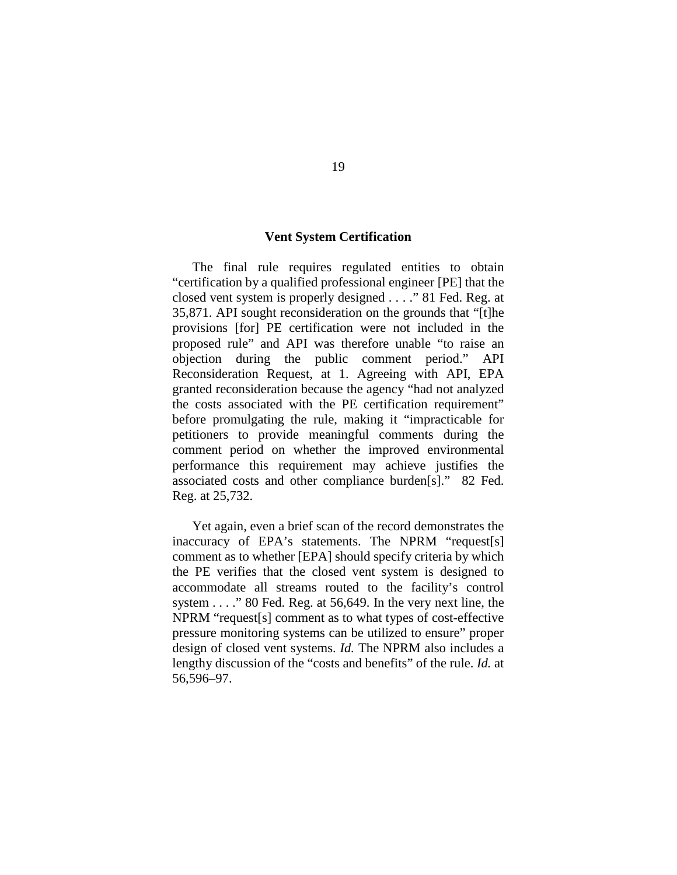## **Vent System Certification**

The final rule requires regulated entities to obtain "certification by a qualified professional engineer [PE] that the closed vent system is properly designed . . . ." 81 Fed. Reg. at 35,871. API sought reconsideration on the grounds that "[t]he provisions [for] PE certification were not included in the proposed rule" and API was therefore unable "to raise an objection during the public comment period." API Reconsideration Request, at 1. Agreeing with API, EPA granted reconsideration because the agency "had not analyzed the costs associated with the PE certification requirement" before promulgating the rule, making it "impracticable for petitioners to provide meaningful comments during the comment period on whether the improved environmental performance this requirement may achieve justifies the associated costs and other compliance burden[s]." 82 Fed. Reg. at 25,732.

Yet again, even a brief scan of the record demonstrates the inaccuracy of EPA's statements. The NPRM "request[s] comment as to whether [EPA] should specify criteria by which the PE verifies that the closed vent system is designed to accommodate all streams routed to the facility's control system . . . ." 80 Fed. Reg. at 56,649. In the very next line, the NPRM "request[s] comment as to what types of cost-effective pressure monitoring systems can be utilized to ensure" proper design of closed vent systems. *Id.* The NPRM also includes a lengthy discussion of the "costs and benefits" of the rule. *Id.* at 56,596–97.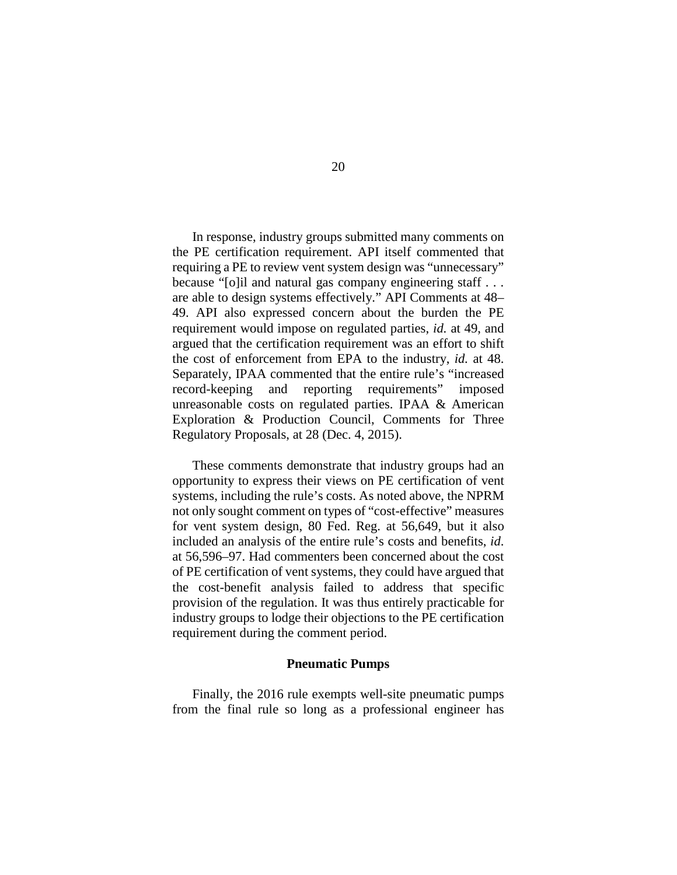In response, industry groups submitted many comments on the PE certification requirement. API itself commented that requiring a PE to review vent system design was "unnecessary" because "[o]il and natural gas company engineering staff . . . are able to design systems effectively." API Comments at 48– 49. API also expressed concern about the burden the PE requirement would impose on regulated parties, *id.* at 49, and argued that the certification requirement was an effort to shift the cost of enforcement from EPA to the industry, *id.* at 48. Separately, IPAA commented that the entire rule's "increased record-keeping and reporting requirements" imposed unreasonable costs on regulated parties. IPAA & American Exploration & Production Council, Comments for Three Regulatory Proposals, at 28 (Dec. 4, 2015).

These comments demonstrate that industry groups had an opportunity to express their views on PE certification of vent systems, including the rule's costs. As noted above, the NPRM not only sought comment on types of "cost-effective" measures for vent system design, 80 Fed. Reg. at 56,649, but it also included an analysis of the entire rule's costs and benefits, *id*. at 56,596–97. Had commenters been concerned about the cost of PE certification of vent systems, they could have argued that the cost-benefit analysis failed to address that specific provision of the regulation. It was thus entirely practicable for industry groups to lodge their objections to the PE certification requirement during the comment period.

#### **Pneumatic Pumps**

Finally, the 2016 rule exempts well-site pneumatic pumps from the final rule so long as a professional engineer has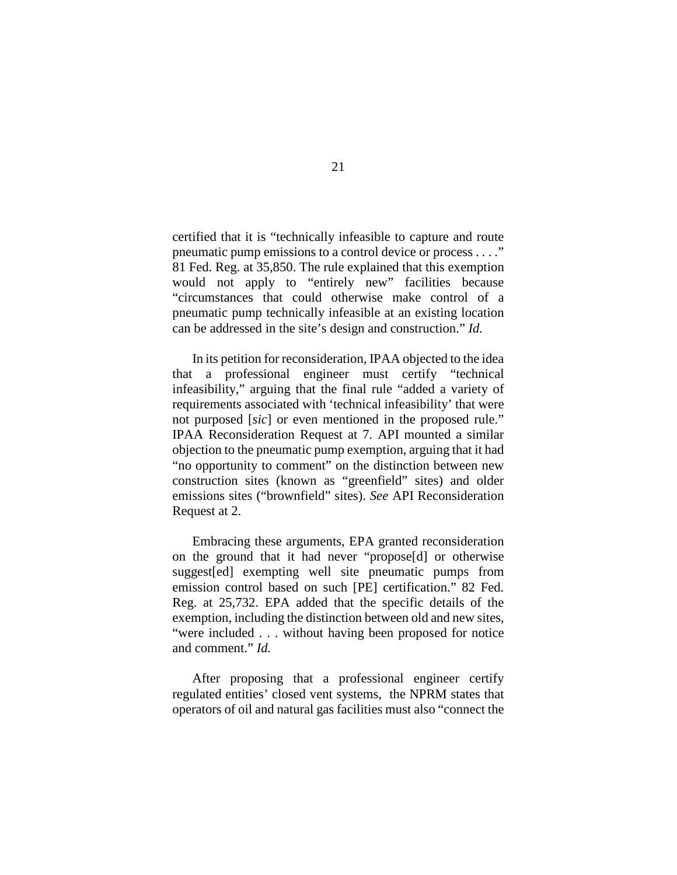certified that it is "technically infeasible to capture and route pneumatic pump emissions to a control device or process . . . ." 81 Fed. Reg. at 35,850. The rule explained that this exemption would not apply to "entirely new" facilities because "circumstances that could otherwise make control of a pneumatic pump technically infeasible at an existing location can be addressed in the site's design and construction." *Id.*

In its petition for reconsideration, IPAA objected to the idea that a professional engineer must certify "technical infeasibility," arguing that the final rule "added a variety of requirements associated with 'technical infeasibility' that were not purposed [*sic*] or even mentioned in the proposed rule." IPAA Reconsideration Request at 7. API mounted a similar objection to the pneumatic pump exemption, arguing that it had "no opportunity to comment" on the distinction between new construction sites (known as "greenfield" sites) and older emissions sites ("brownfield" sites). *See* API Reconsideration Request at 2.

Embracing these arguments, EPA granted reconsideration on the ground that it had never "propose[d] or otherwise suggest[ed] exempting well site pneumatic pumps from emission control based on such [PE] certification." 82 Fed. Reg. at 25,732. EPA added that the specific details of the exemption, including the distinction between old and new sites, "were included . . . without having been proposed for notice and comment." *Id.* 

After proposing that a professional engineer certify regulated entities' closed vent systems, the NPRM states that operators of oil and natural gas facilities must also "connect the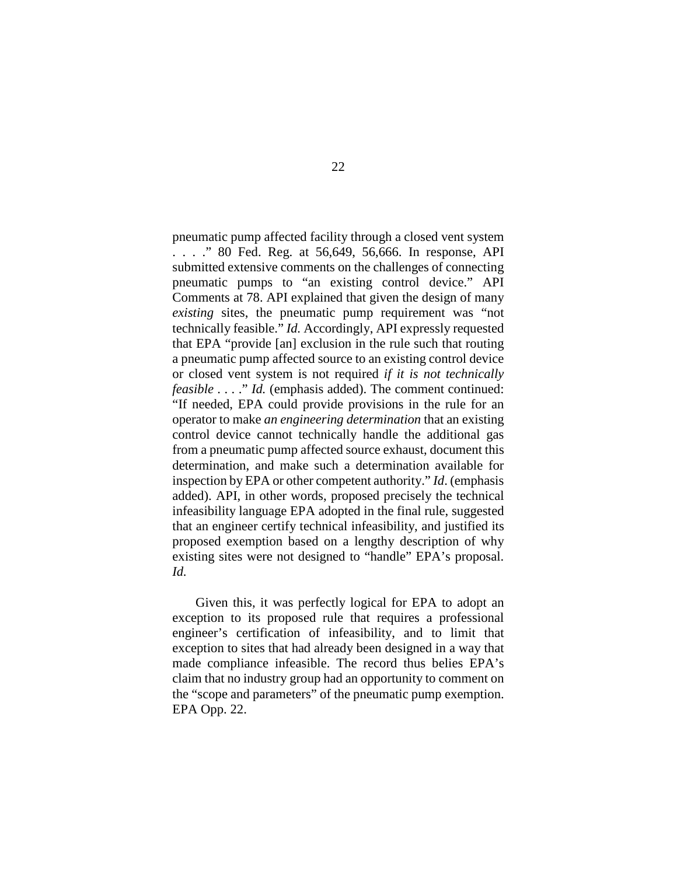pneumatic pump affected facility through a closed vent system . . . ." 80 Fed. Reg. at 56,649, 56,666. In response, API submitted extensive comments on the challenges of connecting pneumatic pumps to "an existing control device." API Comments at 78. API explained that given the design of many *existing* sites, the pneumatic pump requirement was "not technically feasible." *Id.* Accordingly, API expressly requested that EPA "provide [an] exclusion in the rule such that routing a pneumatic pump affected source to an existing control device or closed vent system is not required *if it is not technically feasible* . . . ." *Id.* (emphasis added). The comment continued: "If needed, EPA could provide provisions in the rule for an operator to make *an engineering determination* that an existing control device cannot technically handle the additional gas from a pneumatic pump affected source exhaust, document this determination, and make such a determination available for inspection by EPA or other competent authority." *Id*. (emphasis added). API, in other words, proposed precisely the technical infeasibility language EPA adopted in the final rule, suggested that an engineer certify technical infeasibility, and justified its proposed exemption based on a lengthy description of why existing sites were not designed to "handle" EPA's proposal. *Id.*

Given this, it was perfectly logical for EPA to adopt an exception to its proposed rule that requires a professional engineer's certification of infeasibility, and to limit that exception to sites that had already been designed in a way that made compliance infeasible. The record thus belies EPA's claim that no industry group had an opportunity to comment on the "scope and parameters" of the pneumatic pump exemption. EPA Opp. 22.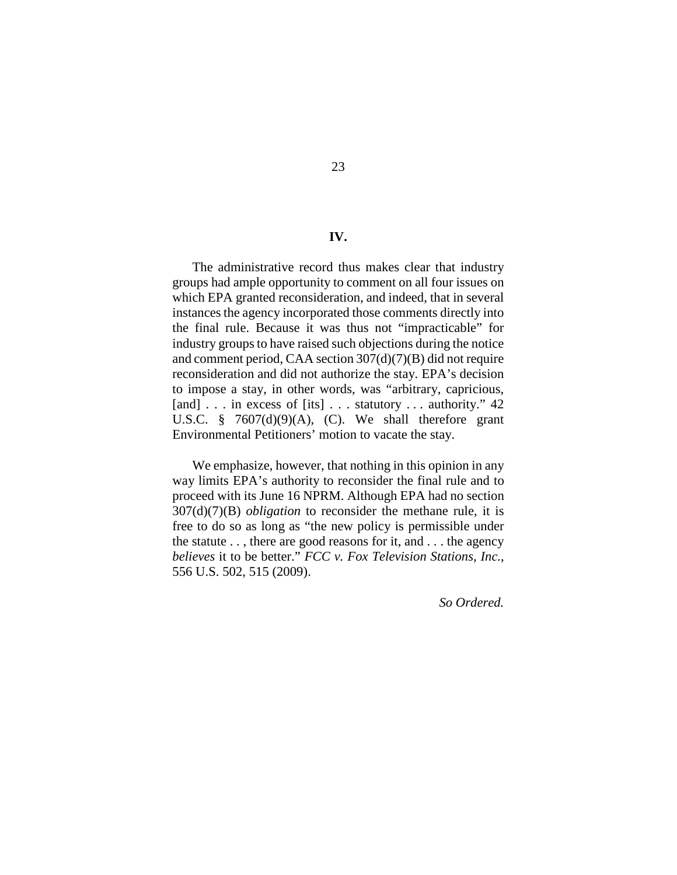#### **IV.**

The administrative record thus makes clear that industry groups had ample opportunity to comment on all four issues on which EPA granted reconsideration, and indeed, that in several instances the agency incorporated those comments directly into the final rule. Because it was thus not "impracticable" for industry groups to have raised such objections during the notice and comment period, CAA section 307(d)(7)(B) did not require reconsideration and did not authorize the stay. EPA's decision to impose a stay, in other words, was "arbitrary, capricious, [and] . . . in excess of [its] . . . statutory . . . authority." 42 U.S.C. §  $7607(d)(9)(A)$ , (C). We shall therefore grant Environmental Petitioners' motion to vacate the stay.

We emphasize, however, that nothing in this opinion in any way limits EPA's authority to reconsider the final rule and to proceed with its June 16 NPRM. Although EPA had no section 307(d)(7)(B) *obligation* to reconsider the methane rule, it is free to do so as long as "the new policy is permissible under the statute . . , there are good reasons for it, and . . . the agency *believes* it to be better." *FCC v. Fox Television Stations, Inc.*, 556 U.S. 502, 515 (2009).

*So Ordered.*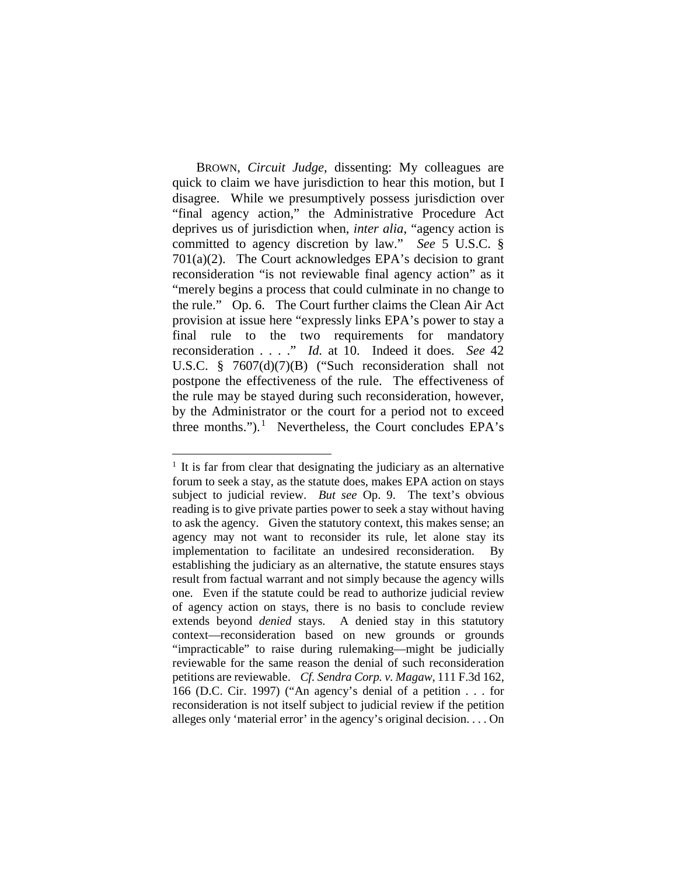BROWN, *Circuit Judge*, dissenting: My colleagues are quick to claim we have jurisdiction to hear this motion, but I disagree. While we presumptively possess jurisdiction over "final agency action," the Administrative Procedure Act deprives us of jurisdiction when, *inter alia*, "agency action is committed to agency discretion by law." *See* 5 U.S.C. § 701(a)(2). The Court acknowledges EPA's decision to grant reconsideration "is not reviewable final agency action" as it "merely begins a process that could culminate in no change to the rule." Op. 6. The Court further claims the Clean Air Act provision at issue here "expressly links EPA's power to stay a final rule to the two requirements for mandatory reconsideration . . . ." *Id.* at 10. Indeed it does. *See* 42 U.S.C. § 7607(d)(7)(B) ("Such reconsideration shall not postpone the effectiveness of the rule. The effectiveness of the rule may be stayed during such reconsideration, however, by the Administrator or the court for a period not to exceed three months.").<sup>[1](#page-23-0)</sup> Nevertheless, the Court concludes EPA's

<span id="page-23-0"></span> $1$  It is far from clear that designating the judiciary as an alternative forum to seek a stay, as the statute does, makes EPA action on stays subject to judicial review. *But see* Op. 9. The text's obvious reading is to give private parties power to seek a stay without having to ask the agency. Given the statutory context, this makes sense; an agency may not want to reconsider its rule, let alone stay its implementation to facilitate an undesired reconsideration. By establishing the judiciary as an alternative, the statute ensures stays result from factual warrant and not simply because the agency wills one. Even if the statute could be read to authorize judicial review of agency action on stays, there is no basis to conclude review extends beyond *denied* stays. A denied stay in this statutory context—reconsideration based on new grounds or grounds "impracticable" to raise during rulemaking—might be judicially reviewable for the same reason the denial of such reconsideration petitions are reviewable. *Cf. Sendra Corp. v. Magaw*, 111 F.3d 162, 166 (D.C. Cir. 1997) ("An agency's denial of a petition . . . for reconsideration is not itself subject to judicial review if the petition alleges only 'material error' in the agency's original decision. . . . On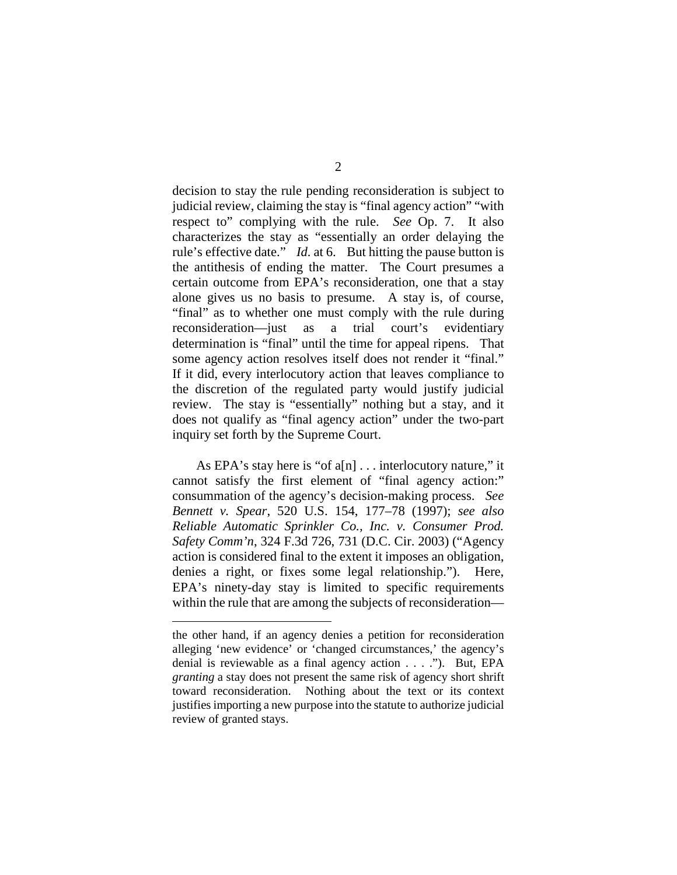decision to stay the rule pending reconsideration is subject to judicial review, claiming the stay is "final agency action" "with respect to" complying with the rule. *See* Op. 7. It also characterizes the stay as "essentially an order delaying the rule's effective date." *Id.* at 6. But hitting the pause button is the antithesis of ending the matter. The Court presumes a certain outcome from EPA's reconsideration, one that a stay alone gives us no basis to presume. A stay is, of course, "final" as to whether one must comply with the rule during reconsideration—just as a trial court's evidentiary determination is "final" until the time for appeal ripens. That some agency action resolves itself does not render it "final." If it did, every interlocutory action that leaves compliance to the discretion of the regulated party would justify judicial review. The stay is "essentially" nothing but a stay, and it does not qualify as "final agency action" under the two-part inquiry set forth by the Supreme Court.

As EPA's stay here is "of a[n] . . . interlocutory nature," it cannot satisfy the first element of "final agency action:" consummation of the agency's decision-making process. *See Bennett v. Spear*, 520 U.S. 154, 177–78 (1997); *see also Reliable Automatic Sprinkler Co., Inc. v. Consumer Prod. Safety Comm'n*, 324 F.3d 726, 731 (D.C. Cir. 2003) ("Agency action is considered final to the extent it imposes an obligation, denies a right, or fixes some legal relationship."). Here, EPA's ninety-day stay is limited to specific requirements within the rule that are among the subjects of reconsideration—

 $\overline{a}$ 

the other hand, if an agency denies a petition for reconsideration alleging 'new evidence' or 'changed circumstances,' the agency's denial is reviewable as a final agency action . . . ."). But, EPA *granting* a stay does not present the same risk of agency short shrift toward reconsideration. Nothing about the text or its context justifies importing a new purpose into the statute to authorize judicial review of granted stays.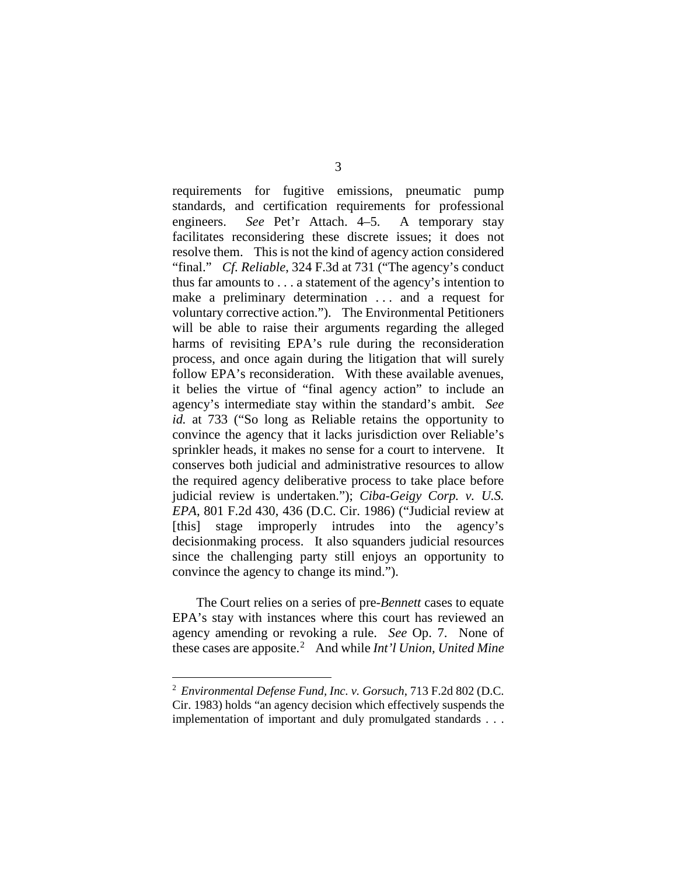requirements for fugitive emissions, pneumatic pump standards, and certification requirements for professional engineers. *See* Pet'r Attach. 4–5. A temporary stay facilitates reconsidering these discrete issues; it does not resolve them. This is not the kind of agency action considered "final." *Cf. Reliable*, 324 F.3d at 731 ("The agency's conduct thus far amounts to . . . a statement of the agency's intention to make a preliminary determination ... and a request for voluntary corrective action."). The Environmental Petitioners will be able to raise their arguments regarding the alleged harms of revisiting EPA's rule during the reconsideration process, and once again during the litigation that will surely follow EPA's reconsideration. With these available avenues, it belies the virtue of "final agency action" to include an agency's intermediate stay within the standard's ambit. *See id.* at 733 ("So long as Reliable retains the opportunity to convince the agency that it lacks jurisdiction over Reliable's sprinkler heads, it makes no sense for a court to intervene. It conserves both judicial and administrative resources to allow the required agency deliberative process to take place before judicial review is undertaken."); *Ciba-Geigy Corp. v. U.S. EPA*, 801 F.2d 430, 436 (D.C. Cir. 1986) ("Judicial review at [this] stage improperly intrudes into the agency's decisionmaking process. It also squanders judicial resources since the challenging party still enjoys an opportunity to convince the agency to change its mind.").

The Court relies on a series of pre-*Bennett* cases to equate EPA's stay with instances where this court has reviewed an agency amending or revoking a rule. *See* Op. 7. None of these cases are apposite.[2](#page-25-0) And while *Int'l Union, United Mine* 

<span id="page-25-0"></span> <sup>2</sup> *Environmental Defense Fund, Inc. v. Gorsuch*, 713 F.2d 802 (D.C. Cir. 1983) holds "an agency decision which effectively suspends the implementation of important and duly promulgated standards . . .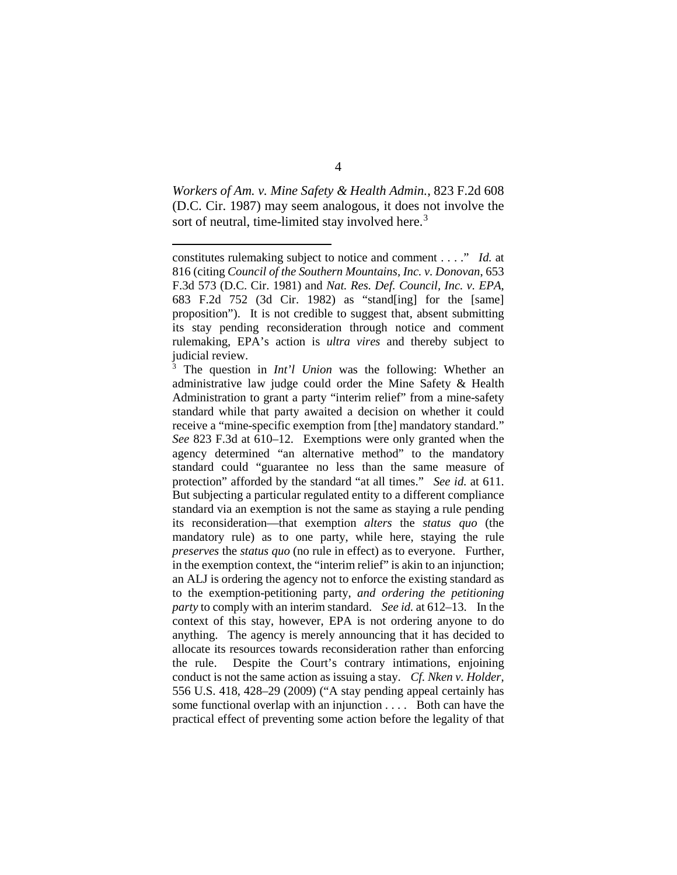*Workers of Am. v. Mine Safety & Health Admin.*, 823 F.2d 608 (D.C. Cir. 1987) may seem analogous, it does not involve the sort of neutral, time-limited stay involved here.<sup>[3](#page-26-0)</sup>

 $\overline{a}$ 

<span id="page-26-0"></span>The question in *Int'l Union* was the following: Whether an administrative law judge could order the Mine Safety & Health Administration to grant a party "interim relief" from a mine-safety standard while that party awaited a decision on whether it could receive a "mine-specific exemption from [the] mandatory standard." *See* 823 F.3d at 610–12. Exemptions were only granted when the agency determined "an alternative method" to the mandatory standard could "guarantee no less than the same measure of protection" afforded by the standard "at all times." *See id.* at 611. But subjecting a particular regulated entity to a different compliance standard via an exemption is not the same as staying a rule pending its reconsideration—that exemption *alters* the *status quo* (the mandatory rule) as to one party, while here, staying the rule *preserves* the *status quo* (no rule in effect) as to everyone. Further, in the exemption context, the "interim relief" is akin to an injunction; an ALJ is ordering the agency not to enforce the existing standard as to the exemption-petitioning party, *and ordering the petitioning party* to comply with an interim standard. *See id.* at 612–13. In the context of this stay, however, EPA is not ordering anyone to do anything. The agency is merely announcing that it has decided to allocate its resources towards reconsideration rather than enforcing the rule. Despite the Court's contrary intimations, enjoining conduct is not the same action as issuing a stay. *Cf. Nken v. Holder*, 556 U.S. 418, 428–29 (2009) ("A stay pending appeal certainly has some functional overlap with an injunction . . . . Both can have the practical effect of preventing some action before the legality of that

constitutes rulemaking subject to notice and comment . . . ." *Id.* at 816 (citing *Council of the Southern Mountains, Inc. v. Donovan*, 653 F.3d 573 (D.C. Cir. 1981) and *Nat. Res. Def. Council, Inc. v. EPA*, 683 F.2d 752 (3d Cir. 1982) as "stand[ing] for the [same] proposition"). It is not credible to suggest that, absent submitting its stay pending reconsideration through notice and comment rulemaking, EPA's action is *ultra vires* and thereby subject to judicial review.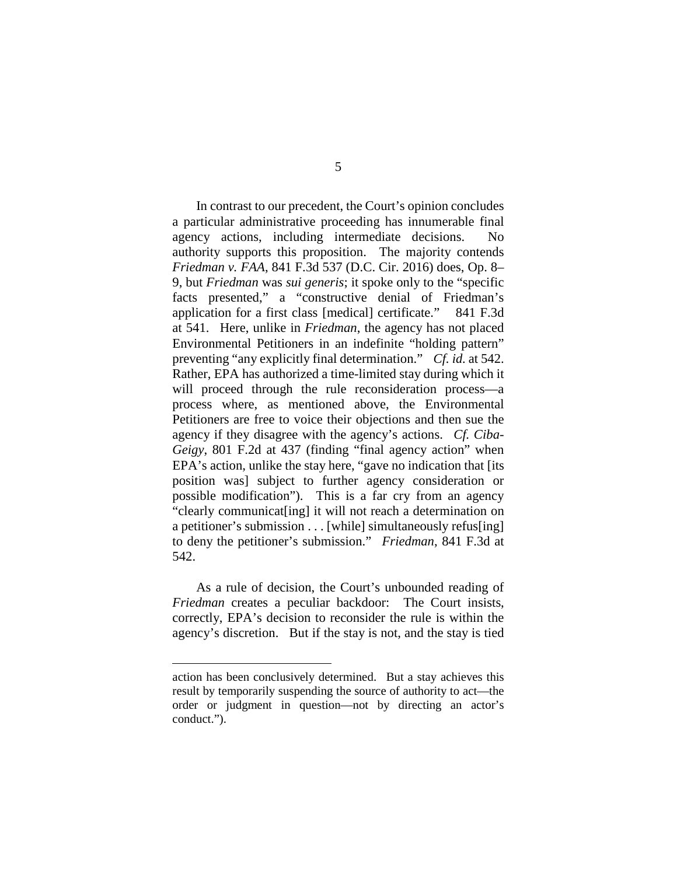In contrast to our precedent, the Court's opinion concludes a particular administrative proceeding has innumerable final agency actions, including intermediate decisions. No authority supports this proposition. The majority contends *Friedman v. FAA*, 841 F.3d 537 (D.C. Cir. 2016) does, Op. 8– 9, but *Friedman* was *sui generis*; it spoke only to the "specific facts presented," a "constructive denial of Friedman's application for a first class [medical] certificate." 841 F.3d at 541. Here, unlike in *Friedman*, the agency has not placed Environmental Petitioners in an indefinite "holding pattern" preventing "any explicitly final determination." *Cf. id.* at 542. Rather, EPA has authorized a time-limited stay during which it will proceed through the rule reconsideration process—a process where, as mentioned above, the Environmental Petitioners are free to voice their objections and then sue the agency if they disagree with the agency's actions. *Cf. Ciba-Geigy*, 801 F.2d at 437 (finding "final agency action" when EPA's action, unlike the stay here, "gave no indication that [its position was] subject to further agency consideration or possible modification"). This is a far cry from an agency "clearly communicat[ing] it will not reach a determination on a petitioner's submission . . . [while] simultaneously refus[ing] to deny the petitioner's submission." *Friedman*, 841 F.3d at 542.

As a rule of decision, the Court's unbounded reading of *Friedman* creates a peculiar backdoor: The Court insists, correctly, EPA's decision to reconsider the rule is within the agency's discretion. But if the stay is not, and the stay is tied

 $\overline{a}$ 

action has been conclusively determined. But a stay achieves this result by temporarily suspending the source of authority to act—the order or judgment in question—not by directing an actor's conduct.").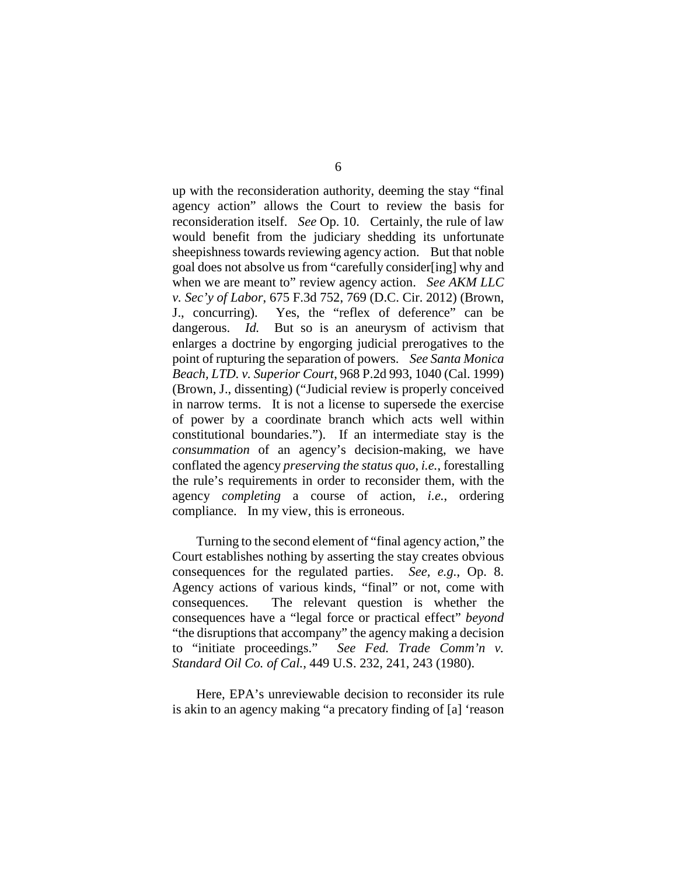up with the reconsideration authority, deeming the stay "final agency action" allows the Court to review the basis for reconsideration itself. *See* Op. 10. Certainly, the rule of law would benefit from the judiciary shedding its unfortunate sheepishness towards reviewing agency action. But that noble goal does not absolve us from "carefully consider[ing] why and when we are meant to" review agency action. *See AKM LLC v. Sec'y of Labor*, 675 F.3d 752, 769 (D.C. Cir. 2012) (Brown, J., concurring). Yes, the "reflex of deference" can be dangerous. *Id.* But so is an aneurysm of activism that enlarges a doctrine by engorging judicial prerogatives to the point of rupturing the separation of powers. *See Santa Monica Beach, LTD. v. Superior Court*, 968 P.2d 993, 1040 (Cal. 1999) (Brown, J., dissenting) ("Judicial review is properly conceived in narrow terms. It is not a license to supersede the exercise of power by a coordinate branch which acts well within constitutional boundaries."). If an intermediate stay is the *consummation* of an agency's decision-making, we have conflated the agency *preserving the status quo*, *i.e.*, forestalling the rule's requirements in order to reconsider them, with the agency *completing* a course of action, *i.e.*, ordering compliance. In my view, this is erroneous.

Turning to the second element of "final agency action," the Court establishes nothing by asserting the stay creates obvious consequences for the regulated parties. *See, e.g.*, Op. 8. Agency actions of various kinds, "final" or not, come with consequences. The relevant question is whether the consequences have a "legal force or practical effect" *beyond* "the disruptions that accompany" the agency making a decision to "initiate proceedings." *See Fed. Trade Comm'n v. Standard Oil Co. of Cal.*, 449 U.S. 232, 241, 243 (1980).

Here, EPA's unreviewable decision to reconsider its rule is akin to an agency making "a precatory finding of [a] 'reason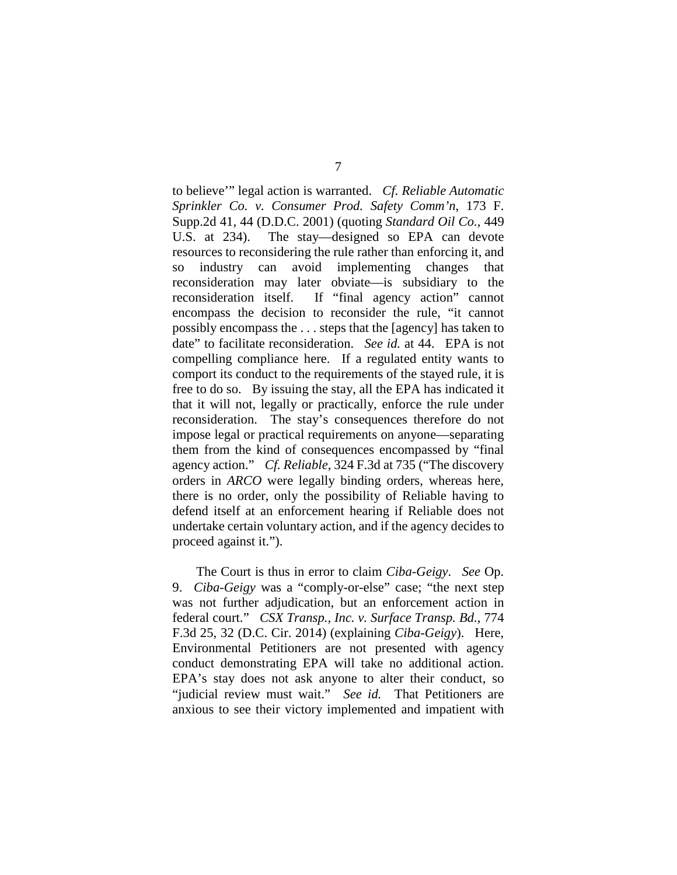to believe'" legal action is warranted. *Cf. Reliable Automatic Sprinkler Co. v. Consumer Prod. Safety Comm'n*, 173 F. Supp.2d 41, 44 (D.D.C. 2001) (quoting *Standard Oil Co.*, 449 U.S. at 234). The stay—designed so EPA can devote resources to reconsidering the rule rather than enforcing it, and so industry can avoid implementing changes that reconsideration may later obviate—is subsidiary to the reconsideration itself. If "final agency action" cannot encompass the decision to reconsider the rule, "it cannot possibly encompass the . . . steps that the [agency] has taken to date" to facilitate reconsideration. *See id.* at 44. EPA is not compelling compliance here. If a regulated entity wants to comport its conduct to the requirements of the stayed rule, it is free to do so. By issuing the stay, all the EPA has indicated it that it will not, legally or practically, enforce the rule under reconsideration. The stay's consequences therefore do not impose legal or practical requirements on anyone—separating them from the kind of consequences encompassed by "final agency action." *Cf. Reliable*, 324 F.3d at 735 ("The discovery orders in *ARCO* were legally binding orders, whereas here, there is no order, only the possibility of Reliable having to defend itself at an enforcement hearing if Reliable does not undertake certain voluntary action, and if the agency decides to proceed against it.").

The Court is thus in error to claim *Ciba-Geigy*. *See* Op. 9. *Ciba-Geigy* was a "comply-or-else" case; "the next step was not further adjudication, but an enforcement action in federal court." *CSX Transp., Inc. v. Surface Transp. Bd.*, 774 F.3d 25, 32 (D.C. Cir. 2014) (explaining *Ciba-Geigy*). Here, Environmental Petitioners are not presented with agency conduct demonstrating EPA will take no additional action. EPA's stay does not ask anyone to alter their conduct, so "judicial review must wait." *See id.* That Petitioners are anxious to see their victory implemented and impatient with